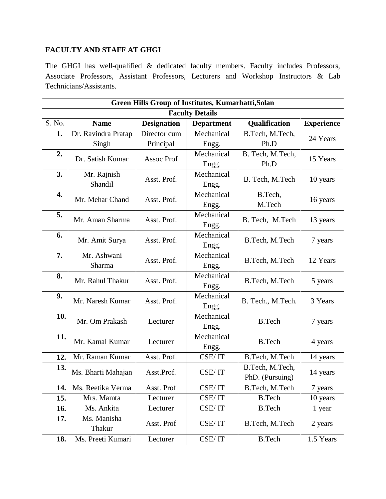## **FACULTY AND STAFF AT GHGI**

The GHGI has well-qualified & dedicated faculty members. Faculty includes Professors, Associate Professors, Assistant Professors, Lecturers and Workshop Instructors & Lab Technicians/Assistants.

| Green Hills Group of Institutes, Kumarhatti, Solan |                        |                    |                     |                                    |                   |  |  |  |
|----------------------------------------------------|------------------------|--------------------|---------------------|------------------------------------|-------------------|--|--|--|
| <b>Faculty Details</b>                             |                        |                    |                     |                                    |                   |  |  |  |
| S. No.                                             | <b>Name</b>            | <b>Designation</b> | <b>Department</b>   | <b>Qualification</b>               | <b>Experience</b> |  |  |  |
| 1.                                                 | Dr. Ravindra Pratap    | Director cum       | Mechanical          | B.Tech, M.Tech,                    | 24 Years          |  |  |  |
|                                                    | Singh                  | Principal          | Engg.               | Ph.D                               |                   |  |  |  |
| 2.                                                 | Dr. Satish Kumar       | <b>Assoc Prof</b>  | Mechanical<br>Engg. | B. Tech, M.Tech,<br>Ph.D           | 15 Years          |  |  |  |
| 3.                                                 | Mr. Rajnish<br>Shandil | Asst. Prof.        | Mechanical<br>Engg. | B. Tech, M.Tech                    | 10 years          |  |  |  |
| 4.                                                 | Mr. Mehar Chand        | Asst. Prof.        | Mechanical<br>Engg. | B.Tech,<br>M.Tech                  | 16 years          |  |  |  |
| 5.                                                 | Mr. Aman Sharma        | Asst. Prof.        | Mechanical<br>Engg. | B. Tech, M.Tech                    | 13 years          |  |  |  |
| 6.                                                 | Mr. Amit Surya         | Asst. Prof.        | Mechanical<br>Engg. | B.Tech, M.Tech                     | 7 years           |  |  |  |
| 7.                                                 | Mr. Ashwani<br>Sharma  | Asst. Prof.        | Mechanical<br>Engg. | B.Tech, M.Tech                     | 12 Years          |  |  |  |
| 8.                                                 | Mr. Rahul Thakur       | Asst. Prof.        | Mechanical<br>Engg. | B.Tech, M.Tech                     | 5 years           |  |  |  |
| 9.                                                 | Mr. Naresh Kumar       | Asst. Prof.        | Mechanical<br>Engg. | B. Tech., M.Tech.                  | 3 Years           |  |  |  |
| 10.                                                | Mr. Om Prakash         | Lecturer           | Mechanical<br>Engg. | <b>B.Tech</b>                      | 7 years           |  |  |  |
| 11.                                                | Mr. Kamal Kumar        | Lecturer           | Mechanical<br>Engg. | <b>B.Tech</b>                      | 4 years           |  |  |  |
| 12.                                                | Mr. Raman Kumar        | Asst. Prof.        | CSE/IT              | B.Tech, M.Tech                     | 14 years          |  |  |  |
| 13.                                                | Ms. Bharti Mahajan     | Asst.Prof.         | CSE/IT              | B.Tech, M.Tech,<br>PhD. (Pursuing) | 14 years          |  |  |  |
| 14.                                                | Ms. Reetika Verma      | Asst. Prof         | CSE/IT              | B.Tech, M.Tech                     | 7 years           |  |  |  |
| 15.                                                | Mrs. Mamta             | Lecturer           | CSE/IT              | <b>B.Tech</b>                      | 10 years          |  |  |  |
| 16.                                                | Ms. Ankita             | Lecturer           | CSE/IT              | <b>B.Tech</b>                      | 1 year            |  |  |  |
| 17.                                                | Ms. Manisha<br>Thakur  | Asst. Prof         | CSE/IT              | B.Tech, M.Tech                     | 2 years           |  |  |  |
| 18.                                                | Ms. Preeti Kumari      | Lecturer           | CSE/IT              | <b>B.Tech</b>                      | 1.5 Years         |  |  |  |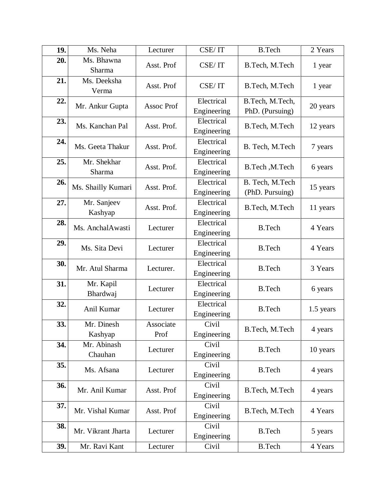| 19. | Ms. Neha               | Lecturer          | CSE/IT                    | <b>B.Tech</b>                      | 2 Years   |
|-----|------------------------|-------------------|---------------------------|------------------------------------|-----------|
| 20. | Ms. Bhawna<br>Sharma   | Asst. Prof        | CSE/IT                    | B.Tech, M.Tech                     | 1 year    |
| 21. | Ms. Deeksha<br>Verma   | Asst. Prof        | CSE/IT                    | B.Tech, M.Tech                     | 1 year    |
| 22. | Mr. Ankur Gupta        | <b>Assoc Prof</b> | Electrical<br>Engineering | B.Tech, M.Tech,<br>PhD. (Pursuing) | 20 years  |
| 23. | Ms. Kanchan Pal        | Asst. Prof.       | Electrical<br>Engineering | B.Tech, M.Tech                     | 12 years  |
| 24. | Ms. Geeta Thakur       | Asst. Prof.       | Electrical<br>Engineering | B. Tech, M.Tech                    | 7 years   |
| 25. | Mr. Shekhar<br>Sharma  | Asst. Prof.       | Electrical<br>Engineering | B.Tech, M.Tech                     | 6 years   |
| 26. | Ms. Shailly Kumari     | Asst. Prof.       | Electrical<br>Engineering | B. Tech, M.Tech<br>(PhD. Pursuing) | 15 years  |
| 27. | Mr. Sanjeev<br>Kashyap | Asst. Prof.       | Electrical<br>Engineering | B.Tech, M.Tech                     | 11 years  |
| 28. | Ms. AnchalAwasti       | Lecturer          | Electrical<br>Engineering | <b>B.Tech</b>                      | 4 Years   |
| 29. | Ms. Sita Devi          | Lecturer          | Electrical<br>Engineering | <b>B.Tech</b>                      | 4 Years   |
| 30. | Mr. Atul Sharma        | Lecturer.         | Electrical<br>Engineering | <b>B.Tech</b>                      | 3 Years   |
| 31. | Mr. Kapil<br>Bhardwaj  | Lecturer          | Electrical<br>Engineering | <b>B.Tech</b>                      | 6 years   |
| 32. | Anil Kumar             | Lecturer          | Electrical<br>Engineering | <b>B.Tech</b>                      | 1.5 years |
| 33. | Mr. Dinesh<br>Kashyap  | Associate<br>Prof | Civil<br>Engineering      | B.Tech, M.Tech                     | 4 years   |
| 34. | Mr. Abinash<br>Chauhan | Lecturer          | Civil<br>Engineering      | <b>B.Tech</b>                      | 10 years  |
| 35. | Ms. Afsana             | Lecturer          | Civil<br>Engineering      | <b>B.Tech</b>                      | 4 years   |
| 36. | Mr. Anil Kumar         | Asst. Prof        | Civil<br>Engineering      | B.Tech, M.Tech                     | 4 years   |
| 37. | Mr. Vishal Kumar       | Asst. Prof        | Civil<br>Engineering      | B.Tech, M.Tech                     | 4 Years   |
| 38. | Mr. Vikrant Jharta     | Lecturer          | Civil<br>Engineering      | <b>B.Tech</b>                      | 5 years   |
| 39. | Mr. Ravi Kant          | Lecturer          | Civil                     | <b>B.Tech</b>                      | 4 Years   |